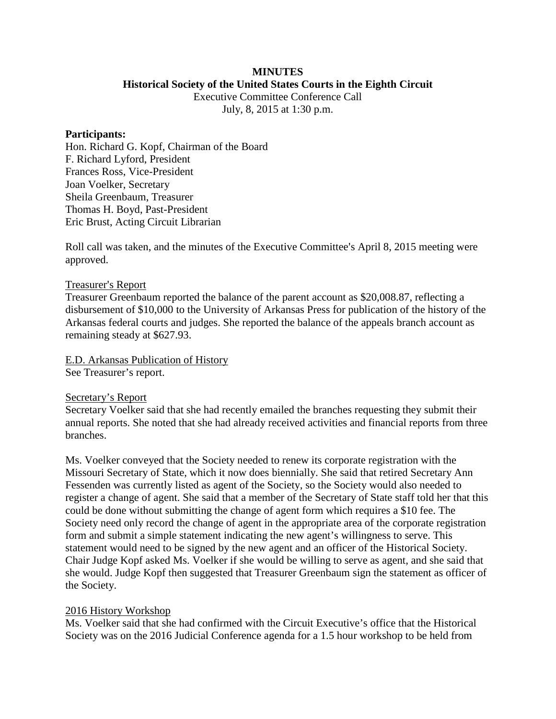### **MINUTES Historical Society of the United States Courts in the Eighth Circuit**

Executive Committee Conference Call July, 8, 2015 at 1:30 p.m.

### **Participants:**

Hon. Richard G. Kopf, Chairman of the Board F. Richard Lyford, President Frances Ross, Vice-President Joan Voelker, Secretary Sheila Greenbaum, Treasurer Thomas H. Boyd, Past-President Eric Brust, Acting Circuit Librarian

Roll call was taken, and the minutes of the Executive Committee's April 8, 2015 meeting were approved.

# Treasurer's Report

Treasurer Greenbaum reported the balance of the parent account as \$20,008.87, reflecting a disbursement of \$10,000 to the University of Arkansas Press for publication of the history of the Arkansas federal courts and judges. She reported the balance of the appeals branch account as remaining steady at \$627.93.

E.D. Arkansas Publication of History See Treasurer's report.

# Secretary's Report

Secretary Voelker said that she had recently emailed the branches requesting they submit their annual reports. She noted that she had already received activities and financial reports from three branches.

Ms. Voelker conveyed that the Society needed to renew its corporate registration with the Missouri Secretary of State, which it now does biennially. She said that retired Secretary Ann Fessenden was currently listed as agent of the Society, so the Society would also needed to register a change of agent. She said that a member of the Secretary of State staff told her that this could be done without submitting the change of agent form which requires a \$10 fee. The Society need only record the change of agent in the appropriate area of the corporate registration form and submit a simple statement indicating the new agent's willingness to serve. This statement would need to be signed by the new agent and an officer of the Historical Society. Chair Judge Kopf asked Ms. Voelker if she would be willing to serve as agent, and she said that she would. Judge Kopf then suggested that Treasurer Greenbaum sign the statement as officer of the Society.

# 2016 History Workshop

Ms. Voelker said that she had confirmed with the Circuit Executive's office that the Historical Society was on the 2016 Judicial Conference agenda for a 1.5 hour workshop to be held from